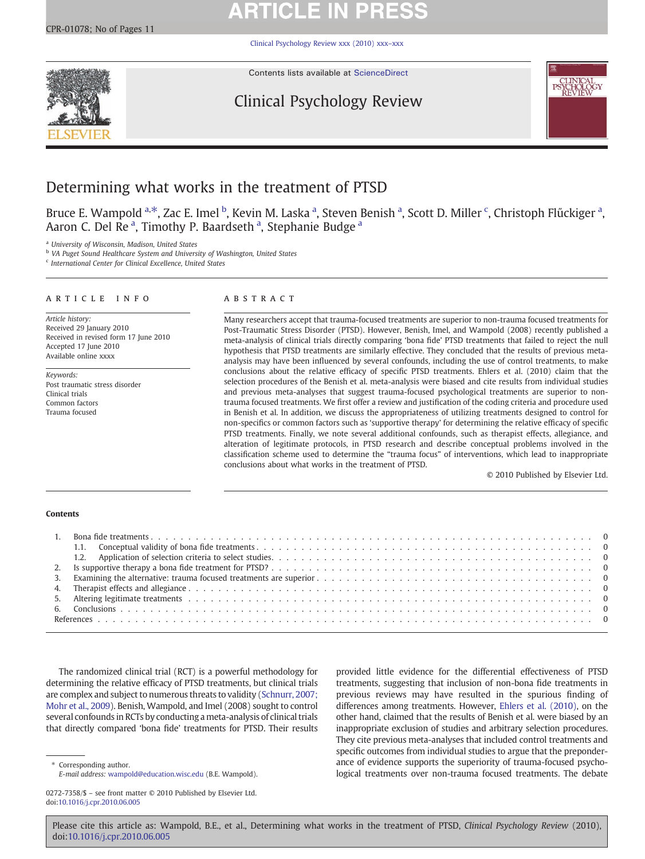# **ARTICLE IN PRESS**

[Clinical Psychology Review xxx \(2010\) xxx](http://dx.doi.org/10.1016/j.cpr.2010.06.005)–xxx



Contents lists available at [ScienceDirect](http://www.sciencedirect.com/science/journal/02727358)

## Clinical Psychology Review



## Determining what works in the treatment of PTSD

Bruce E. Wampold <sup>a,\*</sup>, Zac E. Imel <sup>b</sup>, Kevin M. Laska <sup>a</sup>, Steven Benish <sup>a</sup>, Scott D. Miller <sup>c</sup>, Christoph Flűckiger <sup>a</sup>, Aaron C. Del Re<sup>a</sup>, Timothy P. Baardseth<sup>a</sup>, Stephanie Budge<sup>a</sup>

<sup>a</sup> University of Wisconsin, Madison, United States

**b VA Puget Sound Healthcare System and University of Washington, United States** 

<sup>c</sup> International Center for Clinical Excellence, United States

### article info abstract

Article history: Received 29 January 2010 Received in revised form 17 June 2010 Accepted 17 June 2010 Available online xxxx

Keywords: Post traumatic stress disorder Clinical trials Common factors Trauma focused

Many researchers accept that trauma-focused treatments are superior to non-trauma focused treatments for Post-Traumatic Stress Disorder (PTSD). However, Benish, Imel, and Wampold (2008) recently published a meta-analysis of clinical trials directly comparing 'bona fide' PTSD treatments that failed to reject the null hypothesis that PTSD treatments are similarly effective. They concluded that the results of previous metaanalysis may have been influenced by several confounds, including the use of control treatments, to make conclusions about the relative efficacy of specific PTSD treatments. Ehlers et al. (2010) claim that the selection procedures of the Benish et al. meta-analysis were biased and cite results from individual studies and previous meta-analyses that suggest trauma-focused psychological treatments are superior to nontrauma focused treatments. We first offer a review and justification of the coding criteria and procedure used in Benish et al. In addition, we discuss the appropriateness of utilizing treatments designed to control for non-specifics or common factors such as 'supportive therapy' for determining the relative efficacy of specific PTSD treatments. Finally, we note several additional confounds, such as therapist effects, allegiance, and alteration of legitimate protocols, in PTSD research and describe conceptual problems involved in the classification scheme used to determine the "trauma focus" of interventions, which lead to inappropriate conclusions about what works in the treatment of PTSD.

© 2010 Published by Elsevier Ltd.

### **Contents**

The randomized clinical trial (RCT) is a powerful methodology for determining the relative efficacy of PTSD treatments, but clinical trials are complex and subject to numerous threats to validity ([Schnurr, 2007;](#page-10-0) [Mohr et al., 2009\)](#page-10-0). Benish, Wampold, and Imel (2008) sought to control several confounds in RCTs by conducting a meta-analysis of clinical trials that directly compared 'bona fide' treatments for PTSD. Their results provided little evidence for the differential effectiveness of PTSD treatments, suggesting that inclusion of non-bona fide treatments in previous reviews may have resulted in the spurious finding of differences among treatments. However, [Ehlers et al. \(2010\),](#page-9-0) on the other hand, claimed that the results of Benish et al. were biased by an inappropriate exclusion of studies and arbitrary selection procedures. They cite previous meta-analyses that included control treatments and specific outcomes from individual studies to argue that the preponderance of evidence supports the superiority of trauma-focused psychological treatments over non-trauma focused treatments. The debate

Corresponding author. E-mail address: [wampold@education.wisc.edu](mailto:wampold@education.wisc.edu) (B.E. Wampold).

<sup>0272-7358/\$</sup> – see front matter © 2010 Published by Elsevier Ltd. doi:[10.1016/j.cpr.2010.06.005](http://dx.doi.org/10.1016/j.cpr.2010.06.005)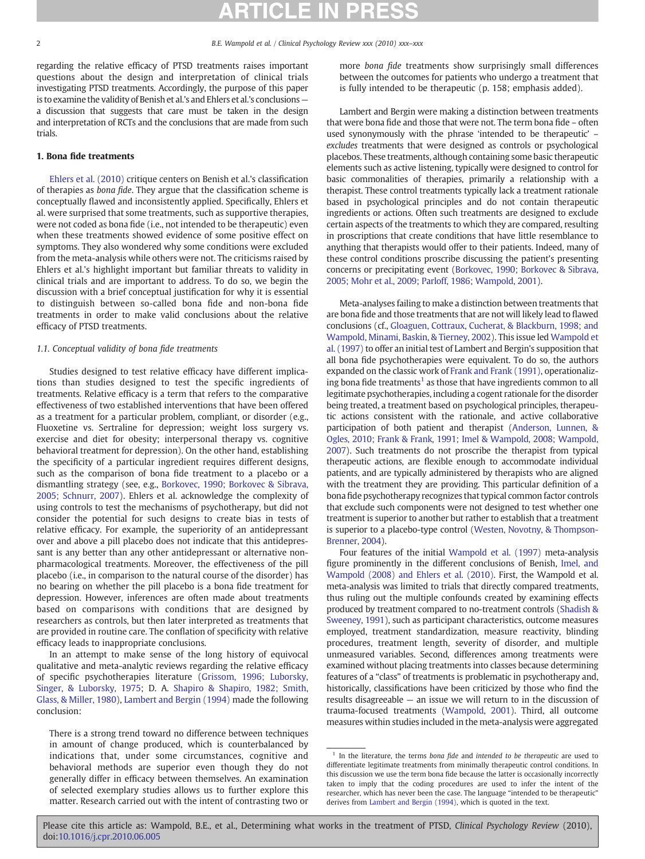regarding the relative efficacy of PTSD treatments raises important questions about the design and interpretation of clinical trials investigating PTSD treatments. Accordingly, the purpose of this paper is to examine the validity of Benish et al.'s and Ehlers et al.'s conclusions a discussion that suggests that care must be taken in the design and interpretation of RCTs and the conclusions that are made from such trials.

### 1. Bona fide treatments

[Ehlers et al. \(2010\)](#page-9-0) critique centers on Benish et al.'s classification of therapies as bona fide. They argue that the classification scheme is conceptually flawed and inconsistently applied. Specifically, Ehlers et al. were surprised that some treatments, such as supportive therapies, were not coded as bona fide (i.e., not intended to be therapeutic) even when these treatments showed evidence of some positive effect on symptoms. They also wondered why some conditions were excluded from the meta-analysis while others were not. The criticisms raised by Ehlers et al.'s highlight important but familiar threats to validity in clinical trials and are important to address. To do so, we begin the discussion with a brief conceptual justification for why it is essential to distinguish between so-called bona fide and non-bona fide treatments in order to make valid conclusions about the relative efficacy of PTSD treatments.

### 1.1. Conceptual validity of bona fide treatments

Studies designed to test relative efficacy have different implications than studies designed to test the specific ingredients of treatments. Relative efficacy is a term that refers to the comparative effectiveness of two established interventions that have been offered as a treatment for a particular problem, compliant, or disorder (e.g., Fluoxetine vs. Sertraline for depression; weight loss surgery vs. exercise and diet for obesity; interpersonal therapy vs. cognitive behavioral treatment for depression). On the other hand, establishing the specificity of a particular ingredient requires different designs, such as the comparison of bona fide treatment to a placebo or a dismantling strategy (see, e.g., [Borkovec, 1990; Borkovec & Sibrava,](#page-9-0) [2005; Schnurr, 2007](#page-9-0)). Ehlers et al. acknowledge the complexity of using controls to test the mechanisms of psychotherapy, but did not consider the potential for such designs to create bias in tests of relative efficacy. For example, the superiority of an antidepressant over and above a pill placebo does not indicate that this antidepressant is any better than any other antidepressant or alternative nonpharmacological treatments. Moreover, the effectiveness of the pill placebo (i.e., in comparison to the natural course of the disorder) has no bearing on whether the pill placebo is a bona fide treatment for depression. However, inferences are often made about treatments based on comparisons with conditions that are designed by researchers as controls, but then later interpreted as treatments that are provided in routine care. The conflation of specificity with relative efficacy leads to inappropriate conclusions.

In an attempt to make sense of the long history of equivocal qualitative and meta-analytic reviews regarding the relative efficacy of specific psychotherapies literature [\(Grissom, 1996; Luborsky,](#page-9-0) [Singer, & Luborsky, 1975](#page-9-0); D. A. [Shapiro & Shapiro, 1982; Smith,](#page-10-0) [Glass, & Miller, 1980](#page-10-0)), [Lambert and Bergin \(1994\)](#page-10-0) made the following conclusion:

There is a strong trend toward no difference between techniques in amount of change produced, which is counterbalanced by indications that, under some circumstances, cognitive and behavioral methods are superior even though they do not generally differ in efficacy between themselves. An examination of selected exemplary studies allows us to further explore this matter. Research carried out with the intent of contrasting two or more bona fide treatments show surprisingly small differences between the outcomes for patients who undergo a treatment that is fully intended to be therapeutic (p. 158; emphasis added).

Lambert and Bergin were making a distinction between treatments that were bona fide and those that were not. The term bona fide – often used synonymously with the phrase 'intended to be therapeutic' – excludes treatments that were designed as controls or psychological placebos. These treatments, although containing some basic therapeutic elements such as active listening, typically were designed to control for basic commonalities of therapies, primarily a relationship with a therapist. These control treatments typically lack a treatment rationale based in psychological principles and do not contain therapeutic ingredients or actions. Often such treatments are designed to exclude certain aspects of the treatments to which they are compared, resulting in proscriptions that create conditions that have little resemblance to anything that therapists would offer to their patients. Indeed, many of these control conditions proscribe discussing the patient's presenting concerns or precipitating event ([Borkovec, 1990; Borkovec & Sibrava,](#page-9-0) [2005; Mohr et al., 2009; Parloff, 1986; Wampold, 2001](#page-9-0)).

Meta-analyses failing to make a distinction between treatments that are bona fide and those treatments that are not will likely lead to flawed conclusions (cf., [Gloaguen, Cottraux, Cucherat, & Blackburn, 1998; and](#page-9-0) [Wampold, Minami, Baskin, & Tierney, 2002](#page-9-0)). This issue led [Wampold et](#page-10-0) [al. \(1997\)](#page-10-0) to offer an initial test of Lambert and Bergin's supposition that all bona fide psychotherapies were equivalent. To do so, the authors expanded on the classic work of [Frank and Frank \(1991\)](#page-9-0), operationalizing bona fide treatments<sup>1</sup> as those that have ingredients common to all legitimate psychotherapies, including a cogent rationale for the disorder being treated, a treatment based on psychological principles, therapeutic actions consistent with the rationale, and active collaborative participation of both patient and therapist [\(Anderson, Lunnen, &](#page-9-0) [Ogles, 2010; Frank & Frank, 1991; Imel & Wampold, 2008; Wampold,](#page-9-0) [2007\)](#page-9-0). Such treatments do not proscribe the therapist from typical therapeutic actions, are flexible enough to accommodate individual patients, and are typically administered by therapists who are aligned with the treatment they are providing. This particular definition of a bonafide psychotherapy recognizes that typical common factor controls that exclude such components were not designed to test whether one treatment is superior to another but rather to establish that a treatment is superior to a placebo-type control [\(Westen, Novotny, & Thompson-](#page-10-0)[Brenner, 2004\)](#page-10-0).

Four features of the initial [Wampold et al. \(1997\)](#page-10-0) meta-analysis figure prominently in the different conclusions of Benish, [Imel, and](#page-9-0) [Wampold \(2008\) and Ehlers et al. \(2010\).](#page-9-0) First, the Wampold et al. meta-analysis was limited to trials that directly compared treatments, thus ruling out the multiple confounds created by examining effects produced by treatment compared to no-treatment controls [\(Shadish &](#page-10-0) [Sweeney, 1991](#page-10-0)), such as participant characteristics, outcome measures employed, treatment standardization, measure reactivity, blinding procedures, treatment length, severity of disorder, and multiple unmeasured variables. Second, differences among treatments were examined without placing treatments into classes because determining features of a "class" of treatments is problematic in psychotherapy and, historically, classifications have been criticized by those who find the results disagreeable — an issue we will return to in the discussion of trauma-focused treatments [\(Wampold, 2001\)](#page-10-0). Third, all outcome measures within studies included in the meta-analysis were aggregated

 $1$  In the literature, the terms bona fide and intended to be therapeutic are used to differentiate legitimate treatments from minimally therapeutic control conditions. In this discussion we use the term bona fide because the latter is occasionally incorrectly taken to imply that the coding procedures are used to infer the intent of the researcher, which has never been the case. The language "intended to be therapeutic" derives from [Lambert and Bergin \(1994\),](#page-10-0) which is quoted in the text.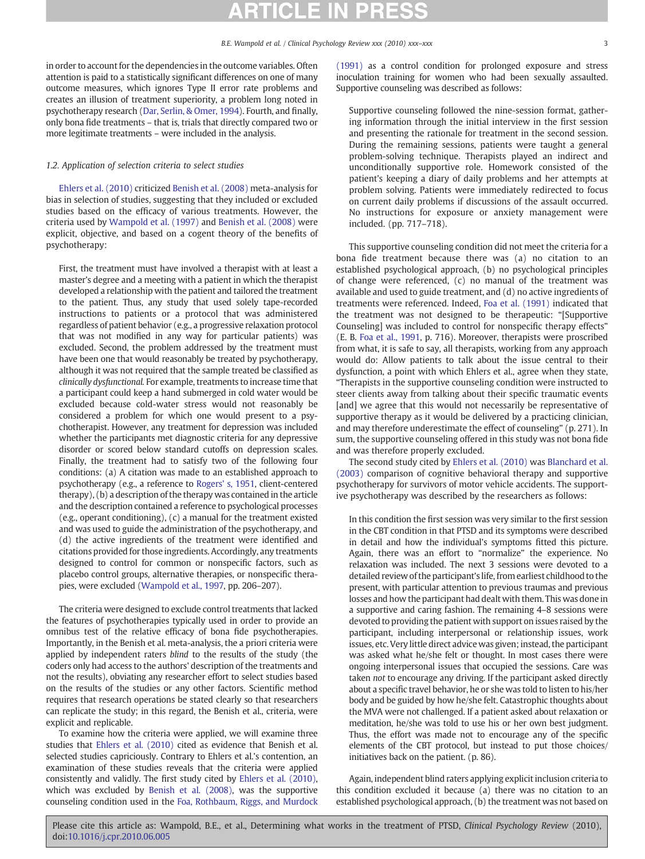in order to account for the dependencies in the outcome variables. Often attention is paid to a statistically significant differences on one of many outcome measures, which ignores Type II error rate problems and creates an illusion of treatment superiority, a problem long noted in psychotherapy research [\(Dar, Serlin, & Omer, 1994\)](#page-9-0). Fourth, and finally, only bona fide treatments – that is, trials that directly compared two or more legitimate treatments – were included in the analysis.

### 1.2. Application of selection criteria to select studies

[Ehlers et al. \(2010\)](#page-9-0) criticized [Benish et al. \(2008\)](#page-9-0) meta-analysis for bias in selection of studies, suggesting that they included or excluded studies based on the efficacy of various treatments. However, the criteria used by [Wampold et al. \(1997\)](#page-10-0) and [Benish et al. \(2008\)](#page-9-0) were explicit, objective, and based on a cogent theory of the benefits of psychotherapy:

First, the treatment must have involved a therapist with at least a master's degree and a meeting with a patient in which the therapist developed a relationship with the patient and tailored the treatment to the patient. Thus, any study that used solely tape-recorded instructions to patients or a protocol that was administered regardless of patient behavior (e.g., a progressive relaxation protocol that was not modified in any way for particular patients) was excluded. Second, the problem addressed by the treatment must have been one that would reasonably be treated by psychotherapy, although it was not required that the sample treated be classified as clinically dysfunctional. For example, treatments to increase time that a participant could keep a hand submerged in cold water would be excluded because cold-water stress would not reasonably be considered a problem for which one would present to a psychotherapist. However, any treatment for depression was included whether the participants met diagnostic criteria for any depressive disorder or scored below standard cutoffs on depression scales. Finally, the treatment had to satisfy two of the following four conditions: (a) A citation was made to an established approach to psychotherapy (e.g., a reference to [Rogers' s, 1951](#page-10-0), client-centered therapy), (b) a description of the therapy was contained in the article and the description contained a reference to psychological processes (e.g., operant conditioning), (c) a manual for the treatment existed and was used to guide the administration of the psychotherapy, and (d) the active ingredients of the treatment were identified and citations provided for those ingredients. Accordingly, any treatments designed to control for common or nonspecific factors, such as placebo control groups, alternative therapies, or nonspecific therapies, were excluded ([Wampold et al., 1997,](#page-10-0) pp. 206–207).

The criteria were designed to exclude control treatments that lacked the features of psychotherapies typically used in order to provide an omnibus test of the relative efficacy of bona fide psychotherapies. Importantly, in the Benish et al. meta-analysis, the a priori criteria were applied by independent raters blind to the results of the study (the coders only had access to the authors' description of the treatments and not the results), obviating any researcher effort to select studies based on the results of the studies or any other factors. Scientific method requires that research operations be stated clearly so that researchers can replicate the study; in this regard, the Benish et al., criteria, were explicit and replicable.

To examine how the criteria were applied, we will examine three studies that [Ehlers et al. \(2010\)](#page-9-0) cited as evidence that Benish et al. selected studies capriciously. Contrary to Ehlers et al.'s contention, an examination of these studies reveals that the criteria were applied consistently and validly. The first study cited by [Ehlers et al. \(2010\),](#page-9-0) which was excluded by [Benish et al. \(2008\)](#page-9-0), was the supportive counseling condition used in the [Foa, Rothbaum, Riggs, and Murdock](#page-9-0)

[\(1991\)](#page-9-0) as a control condition for prolonged exposure and stress inoculation training for women who had been sexually assaulted. Supportive counseling was described as follows:

Supportive counseling followed the nine-session format, gathering information through the initial interview in the first session and presenting the rationale for treatment in the second session. During the remaining sessions, patients were taught a general problem-solving technique. Therapists played an indirect and unconditionally supportive role. Homework consisted of the patient's keeping a diary of daily problems and her attempts at problem solving. Patients were immediately redirected to focus on current daily problems if discussions of the assault occurred. No instructions for exposure or anxiety management were included. (pp. 717–718).

This supportive counseling condition did not meet the criteria for a bona fide treatment because there was (a) no citation to an established psychological approach, (b) no psychological principles of change were referenced, (c) no manual of the treatment was available and used to guide treatment, and (d) no active ingredients of treatments were referenced. Indeed, [Foa et al. \(1991\)](#page-9-0) indicated that the treatment was not designed to be therapeutic: "[Supportive Counseling] was included to control for nonspecific therapy effects" (E. B. [Foa et al., 1991](#page-9-0), p. 716). Moreover, therapists were proscribed from what, it is safe to say, all therapists, working from any approach would do: Allow patients to talk about the issue central to their dysfunction, a point with which Ehlers et al., agree when they state, "Therapists in the supportive counseling condition were instructed to steer clients away from talking about their specific traumatic events [and] we agree that this would not necessarily be representative of supportive therapy as it would be delivered by a practicing clinician, and may therefore underestimate the effect of counseling" (p. 271). In sum, the supportive counseling offered in this study was not bona fide and was therefore properly excluded.

The second study cited by [Ehlers et al. \(2010\)](#page-9-0) was [Blanchard et al.](#page-9-0) [\(2003\)](#page-9-0) comparison of cognitive behavioral therapy and supportive psychotherapy for survivors of motor vehicle accidents. The supportive psychotherapy was described by the researchers as follows:

In this condition the first session was very similar to the first session in the CBT condition in that PTSD and its symptoms were described in detail and how the individual's symptoms fitted this picture. Again, there was an effort to "normalize" the experience. No relaxation was included. The next 3 sessions were devoted to a detailed review of the participant's life, from earliest childhood to the present, with particular attention to previous traumas and previous losses and how the participant had dealt with them. This was done in a supportive and caring fashion. The remaining 4–8 sessions were devoted to providing the patient with support on issues raised by the participant, including interpersonal or relationship issues, work issues, etc. Very little direct advice was given; instead, the participant was asked what he/she felt or thought. In most cases there were ongoing interpersonal issues that occupied the sessions. Care was taken not to encourage any driving. If the participant asked directly about a specific travel behavior, he or she was told to listen to his/her body and be guided by how he/she felt. Catastrophic thoughts about the MVA were not challenged. If a patient asked about relaxation or meditation, he/she was told to use his or her own best judgment. Thus, the effort was made not to encourage any of the specific elements of the CBT protocol, but instead to put those choices/ initiatives back on the patient. (p. 86).

Again, independent blind raters applying explicit inclusion criteria to this condition excluded it because (a) there was no citation to an established psychological approach, (b) the treatment was not based on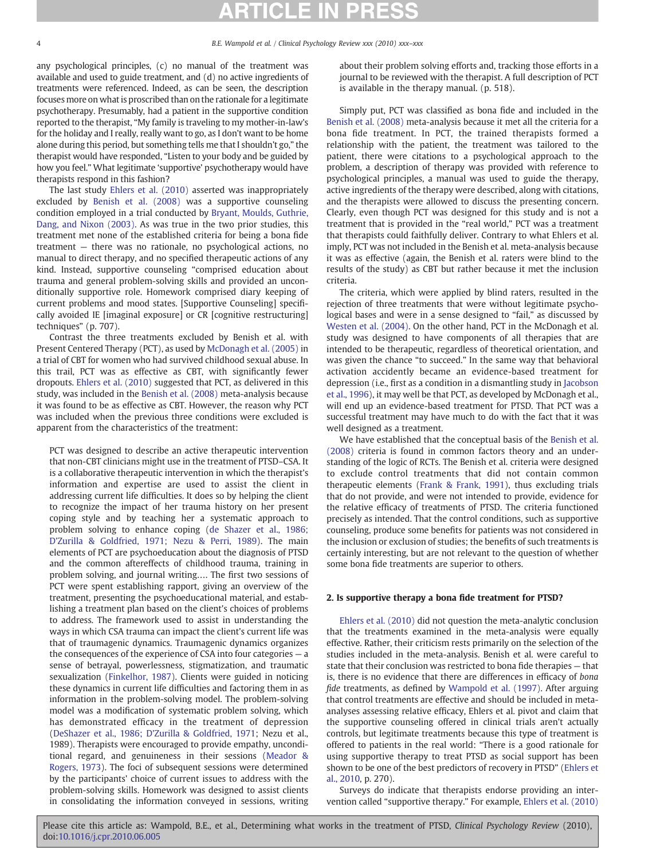4 B.E. Wampold et al. / Clinical Psychology Review xxx (2010) xxx–xxx

any psychological principles, (c) no manual of the treatment was available and used to guide treatment, and (d) no active ingredients of treatments were referenced. Indeed, as can be seen, the description focuses more on what is proscribed than on the rationale for a legitimate psychotherapy. Presumably, had a patient in the supportive condition reported to the therapist, "My family is traveling to my mother-in-law's for the holiday and I really, really want to go, as I don't want to be home alone during this period, but something tells me that I shouldn't go," the therapist would have responded, "Listen to your body and be guided by how you feel." What legitimate 'supportive' psychotherapy would have therapists respond in this fashion?

The last study [Ehlers et al. \(2010\)](#page-9-0) asserted was inappropriately excluded by [Benish et al. \(2008\)](#page-9-0) was a supportive counseling condition employed in a trial conducted by [Bryant, Moulds, Guthrie,](#page-9-0) [Dang, and Nixon \(2003\)](#page-9-0). As was true in the two prior studies, this treatment met none of the established criteria for being a bona fide treatment — there was no rationale, no psychological actions, no manual to direct therapy, and no specified therapeutic actions of any kind. Instead, supportive counseling "comprised education about trauma and general problem-solving skills and provided an unconditionally supportive role. Homework comprised diary keeping of current problems and mood states. [Supportive Counseling] specifically avoided IE [imaginal exposure] or CR [cognitive restructuring] techniques" (p. 707).

Contrast the three treatments excluded by Benish et al. with Present Centered Therapy (PCT), as used by [McDonagh et al. \(2005\)](#page-10-0) in a trial of CBT for women who had survived childhood sexual abuse. In this trail, PCT was as effective as CBT, with significantly fewer dropouts. [Ehlers et al. \(2010\)](#page-9-0) suggested that PCT, as delivered in this study, was included in the [Benish et al. \(2008\)](#page-9-0) meta-analysis because it was found to be as effective as CBT. However, the reason why PCT was included when the previous three conditions were excluded is apparent from the characteristics of the treatment:

PCT was designed to describe an active therapeutic intervention that non-CBT clinicians might use in the treatment of PTSD–CSA. It is a collaborative therapeutic intervention in which the therapist's information and expertise are used to assist the client in addressing current life difficulties. It does so by helping the client to recognize the impact of her trauma history on her present coping style and by teaching her a systematic approach to problem solving to enhance coping [\(de Shazer et al., 1986;](#page-9-0) [D'Zurilla & Goldfried, 1971; Nezu & Perri, 1989](#page-9-0)). The main elements of PCT are psychoeducation about the diagnosis of PTSD and the common aftereffects of childhood trauma, training in problem solving, and journal writing…. The first two sessions of PCT were spent establishing rapport, giving an overview of the treatment, presenting the psychoeducational material, and establishing a treatment plan based on the client's choices of problems to address. The framework used to assist in understanding the ways in which CSA trauma can impact the client's current life was that of traumagenic dynamics. Traumagenic dynamics organizes the consequences of the experience of CSA into four categories — a sense of betrayal, powerlessness, stigmatization, and traumatic sexualization [\(Finkelhor, 1987](#page-9-0)). Clients were guided in noticing these dynamics in current life difficulties and factoring them in as information in the problem-solving model. The problem-solving model was a modification of systematic problem solving, which has demonstrated efficacy in the treatment of depression [\(DeShazer et al., 1986; D'Zurilla & Goldfried, 1971](#page-9-0); Nezu et al., 1989). Therapists were encouraged to provide empathy, unconditional regard, and genuineness in their sessions ([Meador &](#page-10-0) [Rogers, 1973](#page-10-0)). The foci of subsequent sessions were determined by the participants' choice of current issues to address with the problem-solving skills. Homework was designed to assist clients in consolidating the information conveyed in sessions, writing

about their problem solving efforts and, tracking those efforts in a journal to be reviewed with the therapist. A full description of PCT is available in the therapy manual. (p. 518).

Simply put, PCT was classified as bona fide and included in the [Benish et al. \(2008\)](#page-9-0) meta-analysis because it met all the criteria for a bona fide treatment. In PCT, the trained therapists formed a relationship with the patient, the treatment was tailored to the patient, there were citations to a psychological approach to the problem, a description of therapy was provided with reference to psychological principles, a manual was used to guide the therapy, active ingredients of the therapy were described, along with citations, and the therapists were allowed to discuss the presenting concern. Clearly, even though PCT was designed for this study and is not a treatment that is provided in the "real world," PCT was a treatment that therapists could faithfully deliver. Contrary to what Ehlers et al. imply, PCT was not included in the Benish et al. meta-analysis because it was as effective (again, the Benish et al. raters were blind to the results of the study) as CBT but rather because it met the inclusion criteria.

The criteria, which were applied by blind raters, resulted in the rejection of three treatments that were without legitimate psychological bases and were in a sense designed to "fail," as discussed by [Westen et al. \(2004\)](#page-10-0). On the other hand, PCT in the McDonagh et al. study was designed to have components of all therapies that are intended to be therapeutic, regardless of theoretical orientation, and was given the chance "to succeed." In the same way that behavioral activation accidently became an evidence-based treatment for depression (i.e., first as a condition in a dismantling study in [Jacobson](#page-9-0) [et al., 1996\)](#page-9-0), it may well be that PCT, as developed by McDonagh et al., will end up an evidence-based treatment for PTSD. That PCT was a successful treatment may have much to do with the fact that it was well designed as a treatment.

We have established that the conceptual basis of the [Benish et al.](#page-9-0) [\(2008\)](#page-9-0) criteria is found in common factors theory and an understanding of the logic of RCTs. The Benish et al. criteria were designed to exclude control treatments that did not contain common therapeutic elements ([Frank & Frank, 1991](#page-9-0)), thus excluding trials that do not provide, and were not intended to provide, evidence for the relative efficacy of treatments of PTSD. The criteria functioned precisely as intended. That the control conditions, such as supportive counseling, produce some benefits for patients was not considered in the inclusion or exclusion of studies; the benefits of such treatments is certainly interesting, but are not relevant to the question of whether some bona fide treatments are superior to others.

### 2. Is supportive therapy a bona fide treatment for PTSD?

[Ehlers et al. \(2010\)](#page-9-0) did not question the meta-analytic conclusion that the treatments examined in the meta-analysis were equally effective. Rather, their criticism rests primarily on the selection of the studies included in the meta-analysis. Benish et al. were careful to state that their conclusion was restricted to bona fide therapies — that is, there is no evidence that there are differences in efficacy of bona fide treatments, as defined by [Wampold et al. \(1997\)](#page-10-0). After arguing that control treatments are effective and should be included in metaanalyses assessing relative efficacy, Ehlers et al. pivot and claim that the supportive counseling offered in clinical trials aren't actually controls, but legitimate treatments because this type of treatment is offered to patients in the real world: "There is a good rationale for using supportive therapy to treat PTSD as social support has been shown to be one of the best predictors of recovery in PTSD" [\(Ehlers et](#page-9-0) [al., 2010](#page-9-0), p. 270).

Surveys do indicate that therapists endorse providing an intervention called "supportive therapy." For example, [Ehlers et al. \(2010\)](#page-9-0)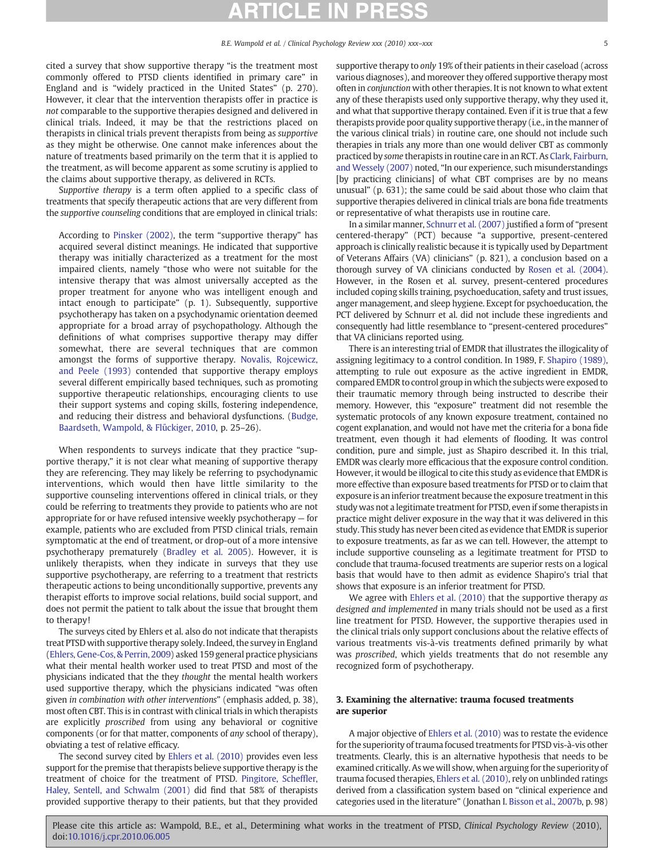cited a survey that show supportive therapy "is the treatment most commonly offered to PTSD clients identified in primary care" in England and is "widely practiced in the United States" (p. 270). However, it clear that the intervention therapists offer in practice is not comparable to the supportive therapies designed and delivered in clinical trials. Indeed, it may be that the restrictions placed on therapists in clinical trials prevent therapists from being as supportive as they might be otherwise. One cannot make inferences about the nature of treatments based primarily on the term that it is applied to the treatment, as will become apparent as some scrutiny is applied to the claims about supportive therapy, as delivered in RCTs.

Supportive therapy is a term often applied to a specific class of treatments that specify therapeutic actions that are very different from the supportive counseling conditions that are employed in clinical trials:

According to [Pinsker \(2002\)](#page-10-0), the term "supportive therapy" has acquired several distinct meanings. He indicated that supportive therapy was initially characterized as a treatment for the most impaired clients, namely "those who were not suitable for the intensive therapy that was almost universally accepted as the proper treatment for anyone who was intelligent enough and intact enough to participate" (p. 1). Subsequently, supportive psychotherapy has taken on a psychodynamic orientation deemed appropriate for a broad array of psychopathology. Although the definitions of what comprises supportive therapy may differ somewhat, there are several techniques that are common amongst the forms of supportive therapy. [Novalis, Rojcewicz,](#page-10-0) [and Peele \(1993\)](#page-10-0) contended that supportive therapy employs several different empirically based techniques, such as promoting supportive therapeutic relationships, encouraging clients to use their support systems and coping skills, fostering independence, and reducing their distress and behavioral dysfunctions. [\(Budge,](#page-9-0) [Baardseth, Wampold, & Fl](#page-9-0)űckiger, 2010, p. 25–26).

When respondents to surveys indicate that they practice "supportive therapy," it is not clear what meaning of supportive therapy they are referencing. They may likely be referring to psychodynamic interventions, which would then have little similarity to the supportive counseling interventions offered in clinical trials, or they could be referring to treatments they provide to patients who are not appropriate for or have refused intensive weekly psychotherapy — for example, patients who are excluded from PTSD clinical trials, remain symptomatic at the end of treatment, or drop-out of a more intensive psychotherapy prematurely ([Bradley et al. 2005\)](#page-9-0). However, it is unlikely therapists, when they indicate in surveys that they use supportive psychotherapy, are referring to a treatment that restricts therapeutic actions to being unconditionally supportive, prevents any therapist efforts to improve social relations, build social support, and does not permit the patient to talk about the issue that brought them to therapy!

The surveys cited by Ehlers et al. also do not indicate that therapists treat PTSD with supportive therapy solely. Indeed, the survey in England [\(Ehlers, Gene-Cos, & Perrin, 2009\)](#page-9-0) asked 159 general practice physicians what their mental health worker used to treat PTSD and most of the physicians indicated that the they thought the mental health workers used supportive therapy, which the physicians indicated "was often given in combination with other interventions" (emphasis added, p. 38), most often CBT. This is in contrast with clinical trials in which therapists are explicitly proscribed from using any behavioral or cognitive components (or for that matter, components of any school of therapy), obviating a test of relative efficacy.

The second survey cited by [Ehlers et al. \(2010\)](#page-9-0) provides even less support for the premise that therapists believe supportive therapy is the treatment of choice for the treatment of PTSD. [Pingitore, Schef](#page-10-0)fler, [Haley, Sentell, and Schwalm \(2001\)](#page-10-0) did find that 58% of therapists provided supportive therapy to their patients, but that they provided

supportive therapy to only 19% of their patients in their caseload (across various diagnoses), and moreover they offered supportive therapy most often in conjunction with other therapies. It is not known to what extent any of these therapists used only supportive therapy, why they used it, and what that supportive therapy contained. Even if it is true that a few therapists provide poor quality supportive therapy (i.e., in the manner of the various clinical trials) in routine care, one should not include such therapies in trials any more than one would deliver CBT as commonly practiced by some therapists in routine care in an RCT. As [Clark, Fairburn,](#page-9-0) [and Wessely \(2007\)](#page-9-0) noted, "In our experience, such misunderstandings [by practicing clinicians] of what CBT comprises are by no means unusual" (p. 631); the same could be said about those who claim that supportive therapies delivered in clinical trials are bona fide treatments or representative of what therapists use in routine care.

In a similar manner, [Schnurr et al. \(2007\)](#page-10-0) justified a form of "present centered-therapy" (PCT) because "a supportive, present-centered approach is clinically realistic because it is typically used by Department of Veterans Affairs (VA) clinicians" (p. 821), a conclusion based on a thorough survey of VA clinicians conducted by [Rosen et al. \(2004\).](#page-10-0) However, in the Rosen et al. survey, present-centered procedures included coping skills training, psychoeducation, safety and trust issues, anger management, and sleep hygiene. Except for psychoeducation, the PCT delivered by Schnurr et al. did not include these ingredients and consequently had little resemblance to "present-centered procedures" that VA clinicians reported using.

There is an interesting trial of EMDR that illustrates the illogicality of assigning legitimacy to a control condition. In 1989, F. [Shapiro \(1989\),](#page-10-0) attempting to rule out exposure as the active ingredient in EMDR, compared EMDR to control group in which the subjects were exposed to their traumatic memory through being instructed to describe their memory. However, this "exposure" treatment did not resemble the systematic protocols of any known exposure treatment, contained no cogent explanation, and would not have met the criteria for a bona fide treatment, even though it had elements of flooding. It was control condition, pure and simple, just as Shapiro described it. In this trial, EMDR was clearly more efficacious that the exposure control condition. However, it would be illogical to cite this study as evidence that EMDR is more effective than exposure based treatments for PTSD or to claim that exposure is an inferior treatment because the exposure treatment in this study was not a legitimate treatment for PTSD, even if some therapists in practice might deliver exposure in the way that it was delivered in this study. This study has never been cited as evidence that EMDR is superior to exposure treatments, as far as we can tell. However, the attempt to include supportive counseling as a legitimate treatment for PTSD to conclude that trauma-focused treatments are superior rests on a logical basis that would have to then admit as evidence Shapiro's trial that shows that exposure is an inferior treatment for PTSD.

We agree with [Ehlers et al. \(2010\)](#page-9-0) that the supportive therapy as designed and implemented in many trials should not be used as a first line treatment for PTSD. However, the supportive therapies used in the clinical trials only support conclusions about the relative effects of various treatments vis-à-vis treatments defined primarily by what was proscribed, which yields treatments that do not resemble any recognized form of psychotherapy.

### 3. Examining the alternative: trauma focused treatments are superior

A major objective of [Ehlers et al. \(2010\)](#page-9-0) was to restate the evidence for the superiority of trauma focused treatments for PTSD vis-à-vis other treatments. Clearly, this is an alternative hypothesis that needs to be examined critically. As we will show, when arguing for the superiority of trauma focused therapies, [Ehlers et al. \(2010\),](#page-9-0) rely on unblinded ratings derived from a classification system based on "clinical experience and categories used in the literature" (Jonathan I. [Bisson et al., 2007b](#page-9-0), p. 98)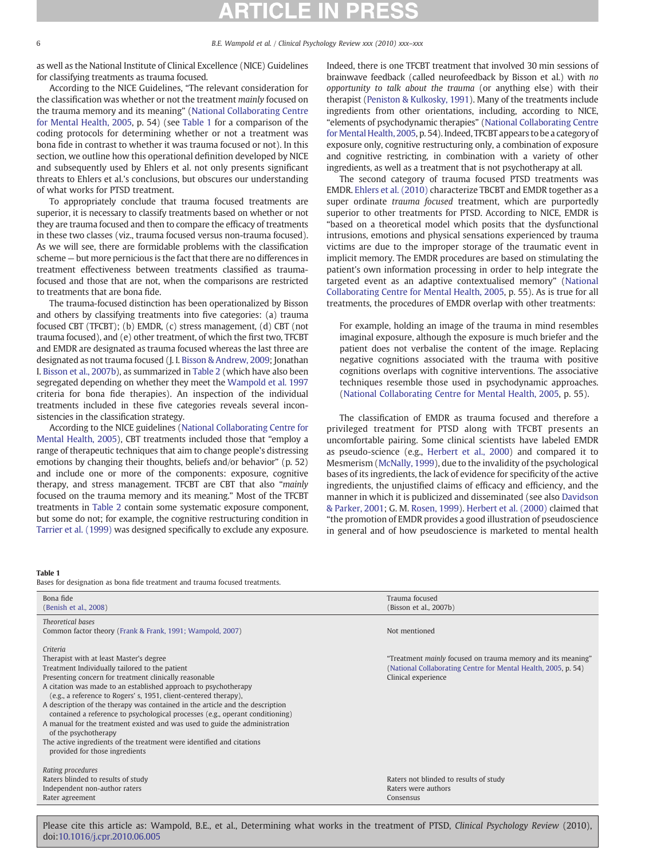as well as the National Institute of Clinical Excellence (NICE) Guidelines for classifying treatments as trauma focused.

According to the NICE Guidelines, "The relevant consideration for the classification was whether or not the treatment mainly focused on the trauma memory and its meaning" [\(National Collaborating Centre](#page-10-0) [for Mental Health, 2005,](#page-10-0) p. 54) (see Table 1 for a comparison of the coding protocols for determining whether or not a treatment was bona fide in contrast to whether it was trauma focused or not). In this section, we outline how this operational definition developed by NICE and subsequently used by Ehlers et al. not only presents significant threats to Ehlers et al.'s conclusions, but obscures our understanding of what works for PTSD treatment.

To appropriately conclude that trauma focused treatments are superior, it is necessary to classify treatments based on whether or not they are trauma focused and then to compare the efficacy of treatments in these two classes (viz., trauma focused versus non-trauma focused). As we will see, there are formidable problems with the classification scheme — but more pernicious is the fact that there are no differences in treatment effectiveness between treatments classified as traumafocused and those that are not, when the comparisons are restricted to treatments that are bona fide.

The trauma-focused distinction has been operationalized by Bisson and others by classifying treatments into five categories: (a) trauma focused CBT (TFCBT); (b) EMDR, (c) stress management, (d) CBT (not trauma focused), and (e) other treatment, of which the first two, TFCBT and EMDR are designated as trauma focused whereas the last three are designated as not trauma focused (J. I. [Bisson & Andrew, 2009;](#page-9-0) Jonathan I. [Bisson et al., 2007b\)](#page-9-0), as summarized in [Table 2](#page-6-0) (which have also been segregated depending on whether they meet the [Wampold et al. 1997](#page-10-0) criteria for bona fide therapies). An inspection of the individual treatments included in these five categories reveals several inconsistencies in the classification strategy.

According to the NICE guidelines ([National Collaborating Centre for](#page-10-0) [Mental Health, 2005\)](#page-10-0), CBT treatments included those that "employ a range of therapeutic techniques that aim to change people's distressing emotions by changing their thoughts, beliefs and/or behavior" (p. 52) and include one or more of the components: exposure, cognitive therapy, and stress management. TFCBT are CBT that also "mainly focused on the trauma memory and its meaning." Most of the TFCBT treatments in [Table 2](#page-6-0) contain some systematic exposure component, but some do not; for example, the cognitive restructuring condition in [Tarrier et al. \(1999\)](#page-10-0) was designed specifically to exclude any exposure.

Indeed, there is one TFCBT treatment that involved 30 min sessions of brainwave feedback (called neurofeedback by Bisson et al.) with no opportunity to talk about the trauma (or anything else) with their therapist [\(Peniston & Kulkosky, 1991](#page-10-0)). Many of the treatments include ingredients from other orientations, including, according to NICE, "elements of psychodynamic therapies" ([National Collaborating Centre](#page-10-0) [for Mental Health, 2005](#page-10-0), p. 54). Indeed, TFCBT appears to be a category of exposure only, cognitive restructuring only, a combination of exposure and cognitive restricting, in combination with a variety of other ingredients, as well as a treatment that is not psychotherapy at all.

The second category of trauma focused PTSD treatments was EMDR. [Ehlers et al. \(2010\)](#page-9-0) characterize TBCBT and EMDR together as a super ordinate trauma focused treatment, which are purportedly superior to other treatments for PTSD. According to NICE, EMDR is "based on a theoretical model which posits that the dysfunctional intrusions, emotions and physical sensations experienced by trauma victims are due to the improper storage of the traumatic event in implicit memory. The EMDR procedures are based on stimulating the patient's own information processing in order to help integrate the targeted event as an adaptive contextualised memory" [\(National](#page-10-0) [Collaborating Centre for Mental Health, 2005,](#page-10-0) p. 55). As is true for all treatments, the procedures of EMDR overlap with other treatments:

For example, holding an image of the trauma in mind resembles imaginal exposure, although the exposure is much briefer and the patient does not verbalise the content of the image. Replacing negative cognitions associated with the trauma with positive cognitions overlaps with cognitive interventions. The associative techniques resemble those used in psychodynamic approaches. [\(National Collaborating Centre for Mental Health, 2005](#page-10-0), p. 55).

The classification of EMDR as trauma focused and therefore a privileged treatment for PTSD along with TFCBT presents an uncomfortable pairing. Some clinical scientists have labeled EMDR as pseudo-science (e.g., [Herbert et al., 2000](#page-9-0)) and compared it to Mesmerism ([McNally, 1999](#page-10-0)), due to the invalidity of the psychological bases of its ingredients, the lack of evidence for specificity of the active ingredients, the unjustified claims of efficacy and efficiency, and the manner in which it is publicized and disseminated (see also [Davidson](#page-9-0) [& Parker, 2001;](#page-9-0) G. M. [Rosen, 1999\)](#page-10-0). [Herbert et al. \(2000\)](#page-9-0) claimed that "the promotion of EMDR provides a good illustration of pseudoscience in general and of how pseudoscience is marketed to mental health

### Table 1

Bases for designation as bona fide treatment and trauma focused treatments.

| Bona fide<br>(Benish et al., 2008)                                                                                                  | Trauma focused<br>(Bisson et al., 2007b)                           |
|-------------------------------------------------------------------------------------------------------------------------------------|--------------------------------------------------------------------|
| Theoretical bases                                                                                                                   |                                                                    |
| Common factor theory (Frank & Frank, 1991; Wampold, 2007)                                                                           | Not mentioned                                                      |
| Criteria                                                                                                                            |                                                                    |
| Therapist with at least Master's degree                                                                                             | "Treatment <i>mainly</i> focused on trauma memory and its meaning" |
| Treatment Individually tailored to the patient                                                                                      | (National Collaborating Centre for Mental Health, 2005, p. 54)     |
| Presenting concern for treatment clinically reasonable                                                                              | Clinical experience                                                |
| A citation was made to an established approach to psychotherapy<br>(e.g., a reference to Rogers' s, 1951, client-centered therapy), |                                                                    |
| A description of the therapy was contained in the article and the description                                                       |                                                                    |
| contained a reference to psychological processes (e.g., operant conditioning)                                                       |                                                                    |
| A manual for the treatment existed and was used to guide the administration                                                         |                                                                    |
| of the psychotherapy                                                                                                                |                                                                    |
| The active ingredients of the treatment were identified and citations                                                               |                                                                    |
| provided for those ingredients                                                                                                      |                                                                    |
| Rating procedures                                                                                                                   |                                                                    |
| Raters blinded to results of study                                                                                                  | Raters not blinded to results of study                             |
| Independent non-author raters                                                                                                       | Raters were authors                                                |
| Rater agreement                                                                                                                     | Consensus                                                          |
|                                                                                                                                     |                                                                    |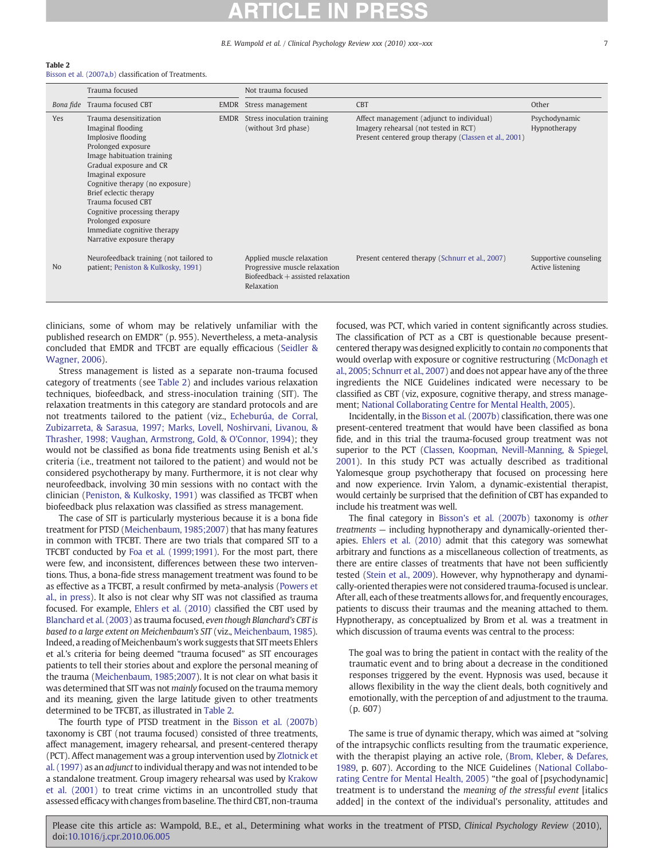### B.E. Wampold et al. / Clinical Psychology Review xxx (2010) xxx-xxx

### <span id="page-6-0"></span>Table 2

[Bisson et al. \(2007a,b\)](#page-9-0) classification of Treatments.

|                | Trauma focused                                                                                                                                                                                                                                                                                                                                                              |      | Not trauma focused                                                                                              |                                                                                                                                             |                                           |
|----------------|-----------------------------------------------------------------------------------------------------------------------------------------------------------------------------------------------------------------------------------------------------------------------------------------------------------------------------------------------------------------------------|------|-----------------------------------------------------------------------------------------------------------------|---------------------------------------------------------------------------------------------------------------------------------------------|-------------------------------------------|
| Bona fide      | Trauma focused CBT                                                                                                                                                                                                                                                                                                                                                          | EMDR | Stress management                                                                                               | <b>CBT</b>                                                                                                                                  | Other                                     |
| Yes            | Trauma desensitization<br>Imaginal flooding<br>Implosive flooding<br>Prolonged exposure<br>Image habituation training<br>Gradual exposure and CR<br>Imaginal exposure<br>Cognitive therapy (no exposure)<br>Brief eclectic therapy<br>Trauma focused CBT<br>Cognitive processing therapy<br>Prolonged exposure<br>Immediate cognitive therapy<br>Narrative exposure therapy | EMDR | Stress inoculation training<br>(without 3rd phase)                                                              | Affect management (adjunct to individual)<br>Imagery rehearsal (not tested in RCT)<br>Present centered group therapy (Classen et al., 2001) | Psychodynamic<br>Hypnotherapy             |
| N <sub>o</sub> | Neurofeedback training (not tailored to<br>patient; Peniston & Kulkosky, 1991)                                                                                                                                                                                                                                                                                              |      | Applied muscle relaxation<br>Progressive muscle relaxation<br>$Biofeedback + assisted relaxation$<br>Relaxation | Present centered therapy (Schnurr et al., 2007)                                                                                             | Supportive counseling<br>Active listening |

clinicians, some of whom may be relatively unfamiliar with the published research on EMDR" (p. 955). Nevertheless, a meta-analysis concluded that EMDR and TFCBT are equally efficacious ([Seidler &](#page-10-0) [Wagner, 2006\)](#page-10-0).

Stress management is listed as a separate non-trauma focused category of treatments (see Table 2) and includes various relaxation techniques, biofeedback, and stress-inoculation training (SIT). The relaxation treatments in this category are standard protocols and are not treatments tailored to the patient (viz., [Echeburúa, de Corral,](#page-9-0) [Zubizarreta, & Sarasua, 1997; Marks, Lovell, Noshirvani, Livanou, &](#page-9-0) [Thrasher, 1998; Vaughan, Armstrong, Gold, & O'Connor, 1994\)](#page-9-0); they would not be classified as bona fide treatments using Benish et al.'s criteria (i.e., treatment not tailored to the patient) and would not be considered psychotherapy by many. Furthermore, it is not clear why neurofeedback, involving 30 min sessions with no contact with the clinician [\(Peniston, & Kulkosky, 1991](#page-10-0)) was classified as TFCBT when biofeedback plus relaxation was classified as stress management.

The case of SIT is particularly mysterious because it is a bona fide treatment for PTSD [\(Meichenbaum, 1985;2007\)](#page-10-0) that has many features in common with TFCBT. There are two trials that compared SIT to a TFCBT conducted by [Foa et al. \(1999;1991\).](#page-9-0) For the most part, there were few, and inconsistent, differences between these two interventions. Thus, a bona-fide stress management treatment was found to be as effective as a TFCBT, a result confirmed by meta-analysis [\(Powers et](http://doi:10.1016/j.cpr.2010.04.007) [al., in press](http://doi:10.1016/j.cpr.2010.04.007)). It also is not clear why SIT was not classified as trauma focused. For example, [Ehlers et al. \(2010\)](#page-9-0) classified the CBT used by [Blanchard et al. \(2003\)](#page-9-0) as trauma focused, even though Blanchard's CBT is based to a large extent on Meichenbaum's SIT (viz., [Meichenbaum, 1985](#page-10-0)). Indeed, a reading ofMeichenbaum's work suggests that SITmeets Ehlers et al.'s criteria for being deemed "trauma focused" as SIT encourages patients to tell their stories about and explore the personal meaning of the trauma ([Meichenbaum, 1985;2007](#page-10-0)). It is not clear on what basis it was determined that SIT was not mainly focused on the trauma memory and its meaning, given the large latitude given to other treatments determined to be TFCBT, as illustrated in Table 2.

The fourth type of PTSD treatment in the [Bisson et al. \(2007b\)](#page-9-0) taxonomy is CBT (not trauma focused) consisted of three treatments, affect management, imagery rehearsal, and present-centered therapy (PCT). Affect management was a group intervention used by [Zlotnick et](#page-10-0) [al. \(1997\)](#page-10-0) as an *adjunct* to individual therapy and was not intended to be a standalone treatment. Group imagery rehearsal was used by [Krakow](#page-9-0) [et al. \(2001\)](#page-9-0) to treat crime victims in an uncontrolled study that assessed efficacy with changes from baseline. The third CBT, non-trauma focused, was PCT, which varied in content significantly across studies. The classification of PCT as a CBT is questionable because presentcentered therapy was designed explicitly to contain no components that would overlap with exposure or cognitive restructuring [\(McDonagh et](#page-10-0) [al., 2005; Schnurr et al., 2007\)](#page-10-0) and does not appear have any of the three ingredients the NICE Guidelines indicated were necessary to be classified as CBT (viz, exposure, cognitive therapy, and stress management; [National Collaborating Centre for Mental Health, 2005\)](#page-10-0).

Incidentally, in the [Bisson et al. \(2007b\)](#page-9-0) classification, there was one present-centered treatment that would have been classified as bona fide, and in this trial the trauma-focused group treatment was not superior to the PCT ([Classen, Koopman, Nevill-Manning, & Spiegel,](#page-9-0) [2001](#page-9-0)). In this study PCT was actually described as traditional Yalomesque group psychotherapy that focused on processing here and now experience. Irvin Yalom, a dynamic-existential therapist, would certainly be surprised that the definition of CBT has expanded to include his treatment was well.

The final category in [Bisson's et al. \(2007b\)](#page-9-0) taxonomy is other treatments — including hypnotherapy and dynamically-oriented therapies. [Ehlers et al. \(2010\)](#page-9-0) admit that this category was somewhat arbitrary and functions as a miscellaneous collection of treatments, as there are entire classes of treatments that have not been sufficiently tested ([Stein et al., 2009](#page-10-0)). However, why hypnotherapy and dynamically-oriented therapies were not considered trauma-focused is unclear. After all, each of these treatments allows for, and frequently encourages, patients to discuss their traumas and the meaning attached to them. Hypnotherapy, as conceptualized by Brom et al. was a treatment in which discussion of trauma events was central to the process:

The goal was to bring the patient in contact with the reality of the traumatic event and to bring about a decrease in the conditioned responses triggered by the event. Hypnosis was used, because it allows flexibility in the way the client deals, both cognitively and emotionally, with the perception of and adjustment to the trauma. (p. 607)

The same is true of dynamic therapy, which was aimed at "solving of the intrapsychic conflicts resulting from the traumatic experience, with the therapist playing an active role, ([Brom, Kleber, & Defares,](#page-9-0) [1989,](#page-9-0) p. 607). According to the NICE Guidelines [\(National Collabo](#page-10-0)[rating Centre for Mental Health, 2005](#page-10-0)) "the goal of [psychodynamic] treatment is to understand the meaning of the stressful event [italics added] in the context of the individual's personality, attitudes and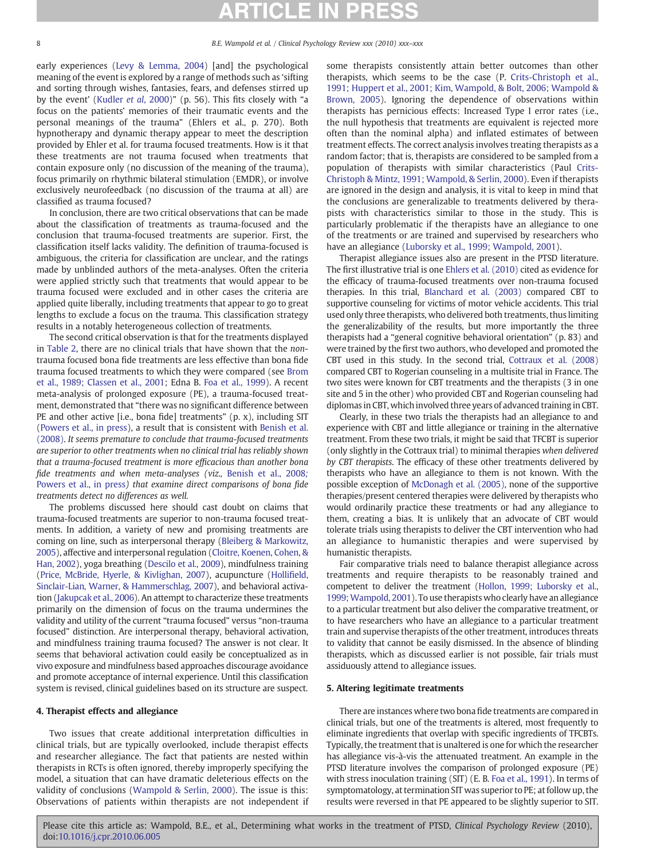#### 8 B.E. Wampold et al. / Clinical Psychology Review xxx (2010) xxx-xxx

early experiences [\(Levy & Lemma, 2004\)](#page-10-0) [and] the psychological meaning of the event is explored by a range of methods such as 'sifting and sorting through wishes, fantasies, fears, and defenses stirred up by the event' ([Kudler](#page-9-0) et al, 2000)" (p. 56). This fits closely with "a focus on the patients' memories of their traumatic events and the personal meanings of the trauma" (Ehlers et al., p. 270). Both hypnotherapy and dynamic therapy appear to meet the description provided by Ehler et al. for trauma focused treatments. How is it that these treatments are not trauma focused when treatments that contain exposure only (no discussion of the meaning of the trauma), focus primarily on rhythmic bilateral stimulation (EMDR), or involve exclusively neurofeedback (no discussion of the trauma at all) are classified as trauma focused?

In conclusion, there are two critical observations that can be made about the classification of treatments as trauma-focused and the conclusion that trauma-focused treatments are superior. First, the classification itself lacks validity. The definition of trauma-focused is ambiguous, the criteria for classification are unclear, and the ratings made by unblinded authors of the meta-analyses. Often the criteria were applied strictly such that treatments that would appear to be trauma focused were excluded and in other cases the criteria are applied quite liberally, including treatments that appear to go to great lengths to exclude a focus on the trauma. This classification strategy results in a notably heterogeneous collection of treatments.

The second critical observation is that for the treatments displayed in [Table 2](#page-6-0), there are no clinical trials that have shown that the nontrauma focused bona fide treatments are less effective than bona fide trauma focused treatments to which they were compared (see [Brom](#page-9-0) [et al., 1989; Classen et al., 2001](#page-9-0); Edna B. [Foa et al., 1999](#page-9-0)). A recent meta-analysis of prolonged exposure (PE), a trauma-focused treatment, demonstrated that "there was no significant difference between PE and other active [i.e., bona fide] treatments" (p. x), including SIT [\(Powers et al., in press](http://doi:10.1016/j.cpr.2010.04.007)), a result that is consistent with [Benish et al.](#page-9-0) [\(2008\).](#page-9-0) It seems premature to conclude that trauma-focused treatments are superior to other treatments when no clinical trial has reliably shown that a trauma-focused treatment is more efficacious than another bona fide treatments and when meta-analyses (viz., [Benish et al., 2008](#page-9-0); [Powers et al., in press](#page-9-0)) that examine direct comparisons of bona fide treatments detect no differences as well.

The problems discussed here should cast doubt on claims that trauma-focused treatments are superior to non-trauma focused treatments. In addition, a variety of new and promising treatments are coming on line, such as interpersonal therapy ([Bleiberg & Markowitz,](#page-9-0) [2005\)](#page-9-0), affective and interpersonal regulation [\(Cloitre, Koenen, Cohen, &](#page-9-0) [Han, 2002](#page-9-0)), yoga breathing ([Descilo et al., 2009](#page-9-0)), mindfulness training [\(Price, McBride, Hyerle, & Kivlighan, 2007\)](#page-10-0), acupuncture [\(Holli](#page-9-0)field, [Sinclair-Lian, Warner, & Hammerschlag, 2007](#page-9-0)), and behavioral activation [\(Jakupcak et al., 2006\)](#page-9-0). An attempt to characterize these treatments primarily on the dimension of focus on the trauma undermines the validity and utility of the current "trauma focused" versus "non-trauma focused" distinction. Are interpersonal therapy, behavioral activation, and mindfulness training trauma focused? The answer is not clear. It seems that behavioral activation could easily be conceptualized as in vivo exposure and mindfulness based approaches discourage avoidance and promote acceptance of internal experience. Until this classification system is revised, clinical guidelines based on its structure are suspect.

### 4. Therapist effects and allegiance

Two issues that create additional interpretation difficulties in clinical trials, but are typically overlooked, include therapist effects and researcher allegiance. The fact that patients are nested within therapists in RCTs is often ignored, thereby improperly specifying the model, a situation that can have dramatic deleterious effects on the validity of conclusions ([Wampold & Serlin, 2000](#page-10-0)). The issue is this: Observations of patients within therapists are not independent if some therapists consistently attain better outcomes than other therapists, which seems to be the case (P. [Crits-Christoph et al.,](#page-9-0) [1991; Huppert et al., 2001; Kim, Wampold, & Bolt, 2006; Wampold &](#page-9-0) [Brown, 2005](#page-9-0)). Ignoring the dependence of observations within therapists has pernicious effects: Increased Type I error rates (i.e., the null hypothesis that treatments are equivalent is rejected more often than the nominal alpha) and inflated estimates of between treatment effects. The correct analysis involves treating therapists as a random factor; that is, therapists are considered to be sampled from a population of therapists with similar characteristics (Paul [Crits-](#page-9-0)[Christoph & Mintz, 1991; Wampold, & Serlin, 2000](#page-9-0)). Even if therapists are ignored in the design and analysis, it is vital to keep in mind that the conclusions are generalizable to treatments delivered by therapists with characteristics similar to those in the study. This is particularly problematic if the therapists have an allegiance to one of the treatments or are trained and supervised by researchers who have an allegiance ([Luborsky et al., 1999; Wampold, 2001\)](#page-10-0).

Therapist allegiance issues also are present in the PTSD literature. The first illustrative trial is one [Ehlers et al. \(2010\)](#page-9-0) cited as evidence for the efficacy of trauma-focused treatments over non-trauma focused therapies. In this trial, [Blanchard et al. \(2003\)](#page-9-0) compared CBT to supportive counseling for victims of motor vehicle accidents. This trial used only three therapists, who delivered both treatments, thus limiting the generalizability of the results, but more importantly the three therapists had a "general cognitive behavioral orientation" (p. 83) and were trained by the first two authors, who developed and promoted the CBT used in this study. In the second trial, [Cottraux et al. \(2008\)](#page-9-0) compared CBT to Rogerian counseling in a multisite trial in France. The two sites were known for CBT treatments and the therapists (3 in one site and 5 in the other) who provided CBT and Rogerian counseling had diplomas in CBT, which involved three years of advanced training in CBT.

Clearly, in these two trials the therapists had an allegiance to and experience with CBT and little allegiance or training in the alternative treatment. From these two trials, it might be said that TFCBT is superior (only slightly in the Cottraux trial) to minimal therapies when delivered by CBT therapists. The efficacy of these other treatments delivered by therapists who have an allegiance to them is not known. With the possible exception of [McDonagh et al. \(2005\),](#page-10-0) none of the supportive therapies/present centered therapies were delivered by therapists who would ordinarily practice these treatments or had any allegiance to them, creating a bias. It is unlikely that an advocate of CBT would tolerate trials using therapists to deliver the CBT intervention who had an allegiance to humanistic therapies and were supervised by humanistic therapists.

Fair comparative trials need to balance therapist allegiance across treatments and require therapists to be reasonably trained and competent to deliver the treatment [\(Hollon, 1999; Luborsky et al.,](#page-9-0) [1999;Wampold, 2001\)](#page-9-0). To use therapists who clearly have an allegiance to a particular treatment but also deliver the comparative treatment, or to have researchers who have an allegiance to a particular treatment train and supervise therapists of the other treatment, introduces threats to validity that cannot be easily dismissed. In the absence of blinding therapists, which as discussed earlier is not possible, fair trials must assiduously attend to allegiance issues.

### 5. Altering legitimate treatments

There are instances where two bona fide treatments are compared in clinical trials, but one of the treatments is altered, most frequently to eliminate ingredients that overlap with specific ingredients of TFCBTs. Typically, the treatment that is unaltered is one for which the researcher has allegiance vis-à-vis the attenuated treatment. An example in the PTSD literature involves the comparison of prolonged exposure (PE) with stress inoculation training (SIT) (E. B. [Foa et al., 1991\)](#page-9-0). In terms of symptomatology, at termination SIT was superior to PE; at follow up, the results were reversed in that PE appeared to be slightly superior to SIT.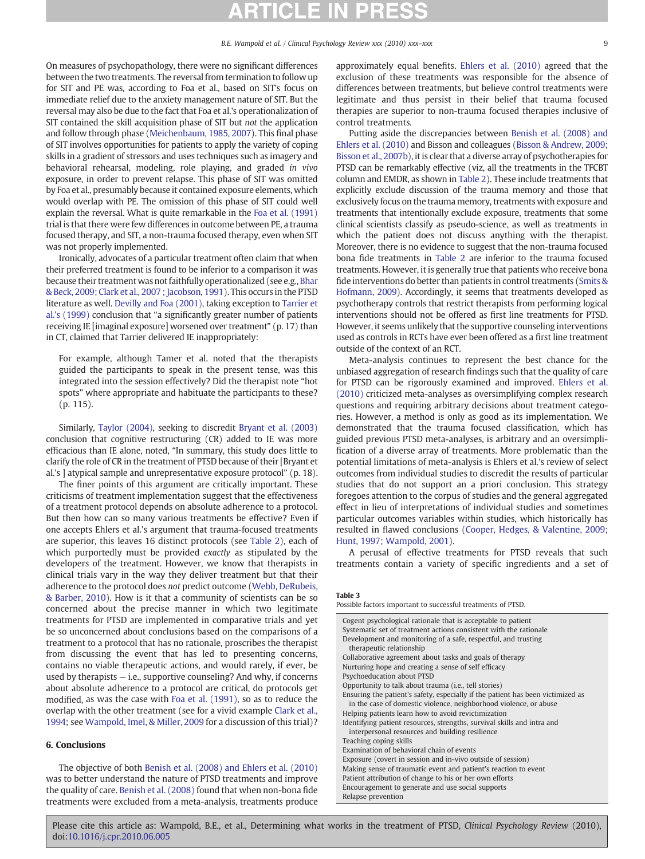<span id="page-8-0"></span>On measures of psychopathology, there were no significant differences between the two treatments. The reversal from termination to follow up for SIT and PE was, according to Foa et al., based on SIT's focus on immediate relief due to the anxiety management nature of SIT. But the reversal may also be due to the fact that Foa et al.'s operationalization of SIT contained the skill acquisition phase of SIT but not the application and follow through phase [\(Meichenbaum, 1985, 2007\)](#page-10-0). This final phase of SIT involves opportunities for patients to apply the variety of coping skills in a gradient of stressors and uses techniques such as imagery and behavioral rehearsal, modeling, role playing, and graded in vivo exposure, in order to prevent relapse. This phase of SIT was omitted by Foa et al., presumably because it contained exposure elements, which would overlap with PE. The omission of this phase of SIT could well explain the reversal. What is quite remarkable in the [Foa et al. \(1991\)](#page-9-0) trial is that there were few differences in outcome between PE, a trauma focused therapy, and SIT, a non-trauma focused therapy, even when SIT was not properly implemented.

Ironically, advocates of a particular treatment often claim that when their preferred treatment is found to be inferior to a comparison it was because their treatment was not faithfully operationalized (see e.g., [Bhar](#page-9-0) [& Beck, 2009; Clark et al., 2007 ; Jacobson, 1991\)](#page-9-0). This occurs in the PTSD literature as well. [Devilly and Foa \(2001\),](#page-9-0) taking exception to [Tarrier et](#page-10-0) [al.'s \(1999\)](#page-10-0) conclusion that "a significantly greater number of patients receiving IE [imaginal exposure] worsened over treatment" (p. 17) than in CT, claimed that Tarrier delivered IE inappropriately:

For example, although Tamer et al. noted that the therapists guided the participants to speak in the present tense, was this integrated into the session effectively? Did the therapist note "hot spots" where appropriate and habituate the participants to these? (p. 115).

Similarly, [Taylor \(2004\)](#page-10-0), seeking to discredit [Bryant et al. \(2003\)](#page-9-0) conclusion that cognitive restructuring (CR) added to IE was more efficacious than IE alone, noted, "In summary, this study does little to clarify the role of CR in the treatment of PTSD because of their [Bryant et al.'s ] atypical sample and unrepresentative exposure protocol" (p. 18).

The finer points of this argument are critically important. These criticisms of treatment implementation suggest that the effectiveness of a treatment protocol depends on absolute adherence to a protocol. But then how can so many various treatments be effective? Even if one accepts Ehlers et al.'s argument that trauma-focused treatments are superior, this leaves 16 distinct protocols (see [Table 2](#page-6-0)), each of which purportedly must be provided exactly as stipulated by the developers of the treatment. However, we know that therapists in clinical trials vary in the way they deliver treatment but that their adherence to the protocol does not predict outcome ([Webb, DeRubeis,](#page-10-0) [& Barber, 2010\)](#page-10-0). How is it that a community of scientists can be so concerned about the precise manner in which two legitimate treatments for PTSD are implemented in comparative trials and yet be so unconcerned about conclusions based on the comparisons of a treatment to a protocol that has no rationale, proscribes the therapist from discussing the event that has led to presenting concerns, contains no viable therapeutic actions, and would rarely, if ever, be used by therapists — i.e., supportive counseling? And why, if concerns about absolute adherence to a protocol are critical, do protocols get modified, as was the case with [Foa et al. \(1991\)](#page-9-0), so as to reduce the overlap with the other treatment (see for a vivid example [Clark et al.,](#page-9-0) [1994;](#page-9-0) see [Wampold, Imel, & Miller, 2009](#page-10-0) for a discussion of this trial)?

### 6. Conclusions

The objective of both [Benish et al. \(2008\) and Ehlers et al. \(2010\)](#page-9-0) was to better understand the nature of PTSD treatments and improve the quality of care. [Benish et al. \(2008\)](#page-9-0) found that when non-bona fide treatments were excluded from a meta-analysis, treatments produce approximately equal benefits. [Ehlers et al. \(2010\)](#page-9-0) agreed that the exclusion of these treatments was responsible for the absence of differences between treatments, but believe control treatments were legitimate and thus persist in their belief that trauma focused therapies are superior to non-trauma focused therapies inclusive of control treatments.

Putting aside the discrepancies between [Benish et al. \(2008\) and](#page-9-0) [Ehlers et al. \(2010\)](#page-9-0) and Bisson and colleagues [\(Bisson & Andrew, 2009;](#page-9-0) [Bisson et al., 2007b\)](#page-9-0), it is clear that a diverse array of psychotherapies for PTSD can be remarkably effective (viz, all the treatments in the TFCBT column and EMDR, as shown in [Table 2](#page-6-0)). These include treatments that explicitly exclude discussion of the trauma memory and those that exclusively focus on the trauma memory, treatments with exposure and treatments that intentionally exclude exposure, treatments that some clinical scientists classify as pseudo-science, as well as treatments in which the patient does not discuss anything with the therapist. Moreover, there is no evidence to suggest that the non-trauma focused bona fide treatments in [Table 2](#page-6-0) are inferior to the trauma focused treatments. However, it is generally true that patients who receive bona fide interventions do better than patients in control treatments ([Smits &](#page-10-0) [Hofmann, 2009](#page-10-0)). Accordingly, it seems that treatments developed as psychotherapy controls that restrict therapists from performing logical interventions should not be offered as first line treatments for PTSD. However, it seems unlikely that the supportive counseling interventions used as controls in RCTs have ever been offered as a first line treatment outside of the context of an RCT.

Meta-analysis continues to represent the best chance for the unbiased aggregation of research findings such that the quality of care for PTSD can be rigorously examined and improved. [Ehlers et al.](#page-9-0) [\(2010\)](#page-9-0) criticized meta-analyses as oversimplifying complex research questions and requiring arbitrary decisions about treatment categories. However, a method is only as good as its implementation. We demonstrated that the trauma focused classification, which has guided previous PTSD meta-analyses, is arbitrary and an oversimplification of a diverse array of treatments. More problematic than the potential limitations of meta-analysis is Ehlers et al.'s review of select outcomes from individual studies to discredit the results of particular studies that do not support an a priori conclusion. This strategy foregoes attention to the corpus of studies and the general aggregated effect in lieu of interpretations of individual studies and sometimes particular outcomes variables within studies, which historically has resulted in flawed conclusions [\(Cooper, Hedges, & Valentine, 2009;](#page-9-0) [Hunt, 1997; Wampold, 2001\)](#page-9-0).

A perusal of effective treatments for PTSD reveals that such treatments contain a variety of specific ingredients and a set of

#### Table 3

Possible factors important to successful treatments of PTSD.

| Cogent psychological rationale that is acceptable to patient                    |
|---------------------------------------------------------------------------------|
| Systematic set of treatment actions consistent with the rationale               |
| Development and monitoring of a safe, respectful, and trusting                  |
| therapeutic relationship                                                        |
| Collaborative agreement about tasks and goals of therapy                        |
|                                                                                 |
| Nurturing hope and creating a sense of self efficacy                            |
| Psychoeducation about PTSD                                                      |
| Opportunity to talk about trauma ( <i>i.e.</i> , tell stories)                  |
| Ensuring the patient's safety, especially if the patient has been victimized as |
| in the case of domestic violence, neighborhood violence, or abuse               |
| Helping patients learn how to avoid revictimization                             |
| Identifying patient resources, strengths, survival skills and intra and         |
| interpersonal resources and building resilience                                 |
| Teaching coping skills                                                          |
| Examination of behavioral chain of events                                       |
| Exposure (covert in session and in-vivo outside of session)                     |
| Making sense of traumatic event and patient's reaction to event                 |
| Patient attribution of change to his or her own efforts                         |
| Encouragement to generate and use social supports                               |
| Relapse prevention                                                              |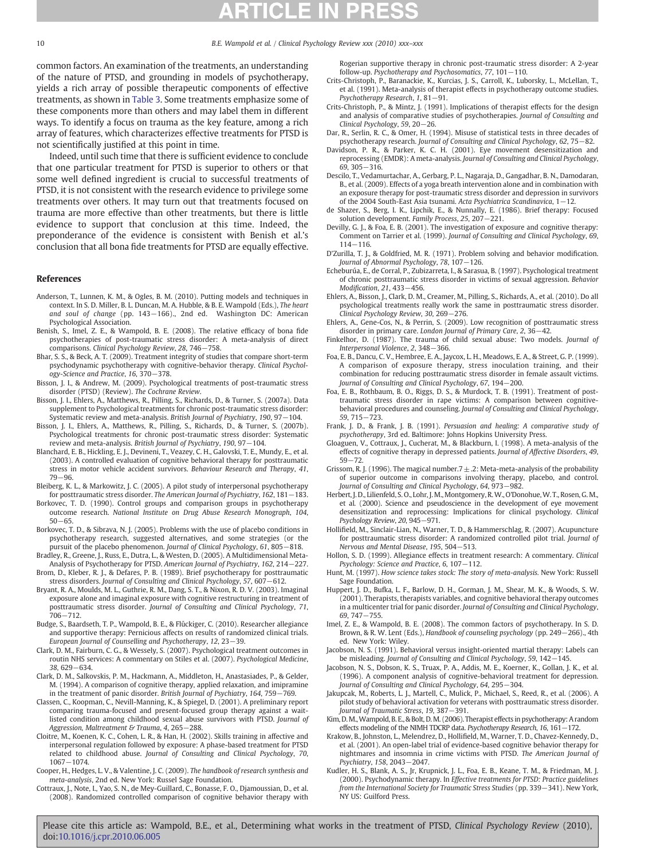<span id="page-9-0"></span>10 B.E. Wampold et al. / Clinical Psychology Review xxx (2010) xxx–xxx

common factors. An examination of the treatments, an understanding of the nature of PTSD, and grounding in models of psychotherapy, yields a rich array of possible therapeutic components of effective treatments, as shown in [Table 3](#page-8-0). Some treatments emphasize some of these components more than others and may label them in different ways. To identify a focus on trauma as the key feature, among a rich array of features, which characterizes effective treatments for PTSD is not scientifically justified at this point in time.

Indeed, until such time that there is sufficient evidence to conclude that one particular treatment for PTSD is superior to others or that some well defined ingredient is crucial to successful treatments of PTSD, it is not consistent with the research evidence to privilege some treatments over others. It may turn out that treatments focused on trauma are more effective than other treatments, but there is little evidence to support that conclusion at this time. Indeed, the preponderance of the evidence is consistent with Benish et al.'s conclusion that all bona fide treatments for PTSD are equally effective.

#### References

- Anderson, T., Lunnen, K. M., & Ogles, B. M. (2010). Putting models and techniques in context. In S. D. Miller, B. L. Duncan, M. A. Hubble, & B. E. Wampold (Eds.), The heart and soul of change (pp. 143−166)., 2nd ed. Washington DC: American Psychological Association.
- Benish, S., Imel, Z. E., & Wampold, B. E. (2008). The relative efficacy of bona fide psychotherapies of post-traumatic stress disorder: A meta-analysis of direct comparisons. Clinical Psychology Review, 28, 746−758.
- Bhar, S. S., & Beck, A. T. (2009). Treatment integrity of studies that compare short-term psychodynamic psychotherapy with cognitive-behavior therapy. Clinical Psychology-Science and Practice, 16, 370−378.
- Bisson, J. I., & Andrew, M. (2009). Psychological treatments of post-traumatic stress disorder (PTSD) (Review). The Cochrane Review.
- Bisson, J. I., Ehlers, A., Matthews, R., Pilling, S., Richards, D., & Turner, S. (2007a). Data supplement to Psychological treatments for chronic post-traumatic stress disorder: Systematic review and meta-analysis. British Journal of Psychiatry, 190, 97−104.
- Bisson, J. I., Ehlers, A., Matthews, R., Pilling, S., Richards, D., & Turner, S. (2007b). Psychological treatments for chronic post-traumatic stress disorder: Systematic review and meta-analysis. British Journal of Psychiatry, 190, 97−104.
- Blanchard, E. B., Hickling, E. J., Devineni, T., Veazey, C. H., Galovski, T. E., Mundy, E., et al. (2003). A controlled evaluation of cognitive behavioral therapy for posttraumatic stress in motor vehicle accident survivors. Behaviour Research and Therapy, 41, 79−96.
- Bleiberg, K. L., & Markowitz, J. C. (2005). A pilot study of interpersonal psychotherapy for posttraumatic stress disorder. The American Journal of Psychiatry, 162, 181−183.
- Borkovec, T. D. (1990). Control groups and comparison groups in psychotherapy outcome research. National Institute on Drug Abuse Research Monograph, 104, 50−65. Borkovec, T. D., & Sibrava, N. J. (2005). Problems with the use of placebo conditions in
- psychotherapy research, suggested alternatives, and some strategies (or the pursuit of the placebo phenomenon. Journal of Clinical Psychology, 61, 805−818.
- Bradley, R., Greene, J., Russ, E., Dutra, L., & Westen, D. (2005). A Multidimensional Meta-Analysis of Psychotherapy for PTSD. American Journal of Psychiatry, 162, 214−227. Brom, D., Kleber, R. J., & Defares, P. B. (1989). Brief psychotherapy for posttraumatic
- stress disorders. Journal of Consulting and Clinical Psychology, 57, 607−612. Bryant, R. A., Moulds, M. L., Guthrie, R. M., Dang, S. T., & Nixon, R. D. V. (2003). Imaginal
- exposure alone and imaginal exposure with cognitive restructuring in treatment of posttraumatic stress disorder. Journal of Consulting and Clinical Psychology, 71,  $706 - 712.$
- Budge, S., Baardseth, T. P., Wampold, B. E., & Flűckiger, C. (2010). Researcher allegiance and supportive therapy: Pernicious affects on results of randomized clinical trials. European Journal of Counselling and Psychotherapy, 12, 23−39.
- Clark, D. M., Fairburn, C. G., & Wessely, S. (2007). Psychological treatment outcomes in routin NHS services: A commentary on Stiles et al. (2007). Psychological Medicine, 38, 629−634.
- Clark, D. M., Salkovskis, P. M., Hackmann, A., Middleton, H., Anastasiades, P., & Gelder, M. (1994). A comparison of cognitive therapy, applied relaxation, and imipramine in the treatment of panic disorder. British Journal of Psychiatry, 164, 759−769.
- Classen, C., Koopman, C., Nevill-Manning, K., & Spiegel, D. (2001). A preliminary report comparing trauma-focused and present-focused group therapy against a waitlisted condition among childhood sexual abuse survivors with PTSD. Journal of Aggression, Maltreatment & Trauma, 4, 265−288.
- Cloitre, M., Koenen, K. C., Cohen, L. R., & Han, H. (2002). Skills training in affective and interpersonal regulation followed by exposure: A phase-based treatment for PTSD related to childhood abuse. Journal of Consulting and Clinical Psychology, 70, 1067−1074.
- Cooper, H., Hedges, L. V., & Valentine, J. C. (2009). The handbook of research synthesis and meta-analysis, 2nd ed. New York: Russel Sage Foundation.
- Cottraux, J., Note, I., Yao, S. N., de Mey-Guillard, C., Bonasse, F. O., Djamoussian, D., et al. (2008). Randomized controlled comparison of cognitive behavior therapy with

Rogerian supportive therapy in chronic post-traumatic stress disorder: A 2-year follow-up. Psychotherapy and Psychosomatics, 77, 101−110.

- Crits-Christoph, P., Baranackie, K., Kurcias, J. S., Carroll, K., Luborsky, L., McLellan, T., et al. (1991). Meta-analysis of therapist effects in psychotherapy outcome studies. Psychotherapy Research, 1, 81−91.
- Crits-Christoph, P., & Mintz, J. (1991). Implications of therapist effects for the design and analysis of comparative studies of psychotherapies. Journal of Consulting and Clinical Psychology, 59, 20−26.
- Dar, R., Serlin, R. C., & Omer, H. (1994). Misuse of statistical tests in three decades of psychotherapy research. Journal of Consulting and Clinical Psychology, 62, 75−82.
- Davidson, P. R., & Parker, K. C. H. (2001). Eye movement desensitization and reprocessing (EMDR): A meta-analysis. Journal of Consulting and Clinical Psychology, 69, 305−316.
- Descilo, T., Vedamurtachar, A., Gerbarg, P. L., Nagaraja, D., Gangadhar, B. N., Damodaran, B., et al. (2009). Effects of a yoga breath intervention alone and in combination with an exposure therapy for post-traumatic stress disorder and depression in survivors of the 2004 South-East Asia tsunami. Acta Psychiatrica Scandinavica, 1−12.
- de Shazer, S., Berg, I. K., Lipchik, E., & Nunnally, E. (1986). Brief therapy: Focused solution development. Family Process, 25, 207−221.
- Devilly, G. J., & Foa, E. B. (2001). The investigation of exposure and cognitive therapy: Comment on Tarrier et al. (1999). Journal of Consulting and Clinical Psychology, 69, 114−116.
- D'Zurilla, T. J., & Goldfried, M. R. (1971). Problem solving and behavior modification. Journal of Abnormal Psychology, 78, 107−126.
- Echeburúa, E., de Corral, P., Zubizarreta, I., & Sarasua, B. (1997). Psychological treatment of chronic posttraumatic stress disorder in victims of sexual aggression. Behavior Modification, 21, 433−456.
- Ehlers, A., Bisson, J., Clark, D. M., Creamer, M., Pilling, S., Richards, A., et al. (2010). Do all psychological treatments really work the same in posttraumatic stress disorder. Clinical Psychology Review, 30, 269−276.
- Ehlers, A., Gene-Cos, N., & Perrin, S. (2009). Low recognition of posttraumatic stress disorder in primary care. London Journal of Primary Care, 2, 36−42.
- Finkelhor, D. (1987). The trauma of child sexual abuse: Two models. Journal of Interpersonal Violence, 2, 348−366.
- Foa, E. B., Dancu, C. V., Hembree, E. A., Jaycox, L. H., Meadows, E. A., & Street, G. P. (1999). A comparison of exposure therapy, stress inoculation training, and their combination for reducing posttraumatic stress disorder in female assault victims. Journal of Consulting and Clinical Psychology, 67, 194−200.
- Foa, E. B., Rothbaum, B. O., Riggs, D. S., & Murdock, T. B. (1991). Treatment of posttraumatic stress disorder in rape victims: A comparison between cognitivebehavioral procedures and counseling. Journal of Consulting and Clinical Psychology, 59, 715−723.
- Frank, J. D., & Frank, J. B. (1991). Persuasion and healing: A comparative study of psychotherapy, 3rd ed. Baltimore: Johns Hopkins University Press.
- Gloaguen, V., Cottraux, J., Cucherat, M., & Blackburn, I. (1998). A meta-analysis of the effects of cognitive therapy in depressed patients. Journal of Affective Disorders, 49, 59−72.
- Grissom, R. J. (1996). The magical number.7  $\pm$  .2: Meta-meta-analysis of the probability of superior outcome in comparisons involving therapy, placebo, and control. Journal of Consulting and Clinical Psychology, 64, 973−982.
- Herbert, J. D., Lilienfeld, S. O., Lohr, J. M., Montgomery, R. W., O'Donohue, W. T., Rosen, G. M., et al. (2000). Science and pseudoscience in the development of eye movement desensitization and reprocessing: Implications for clinical psychology. Clinical Psychology Review, 20, 945−971.
- Hollifield, M., Sinclair-Lian, N., Warner, T. D., & Hammerschlag, R. (2007). Acupuncture for posttraumatic stress disorder: A randomized controlled pilot trial. Journal of Nervous and Mental Disease, 195, 504−513.
- Hollon, S. D. (1999). Allegiance effects in treatment research: A commentary. Clinical Psychology: Science and Practice, 6, 107−112.
- Hunt, M. (1997). How science takes stock: The story of meta-analysis. New York: Russell Sage Foundation.
- Huppert, J. D., Bufka, L. F., Barlow, D. H., Gorman, J. M., Shear, M. K., & Woods, S. W. (2001). Therapists, therapists variables, and cognitive behavioral therapy outcomes in a multicenter trial for panic disorder. Journal of Consulting and Clinical Psychology, 69, 747−755.
- Imel, Z. E., & Wampold, B. E. (2008). The common factors of psychotherapy. In S. D. Brown, & R. W. Lent (Eds.), Handbook of counseling psychology (pp. 249−266)., 4th ed. New York: Wiley.
- Jacobson, N. S. (1991). Behavioral versus insight-oriented martial therapy: Labels can be misleading. Journal of Consulting and Clinical Psychology, 59, 142−145.
- Jacobson, N. S., Dobson, K. S., Truax, P. A., Addis, M. E., Koerner, K., Gollan, J. K., et al. (1996). A component analysis of cognitive-behavioral treatment for depression. Journal of Consulting and Clinical Psychology, 64, 295−304.
- Jakupcak, M., Roberts, L. J., Martell, C., Mulick, P., Michael, S., Reed, R., et al. (2006). A pilot study of behavioral activation for veterans with posttraumatic stress disorder. Journal of Traumatic Stress, 19, 387−391.
- Kim, D.M.,Wampold, B. E., & Bolt, D.M. (2006). Therapist effects in psychotherapy: A random effects modeling of the NIMH TDCRP data. Psychotherapy Research, 16, 161−172.
- Krakow, B., Johnston, L., Melendrez, D., Hollifield, M., Warner, T. D., Chavez-Kennedy, D., et al. (2001). An open-label trial of evidence-based cognitive behavior therapy for nightmares and insomnia in crime victims with PTSD. The American Journal of Psychiatry, 158, 2043−2047.
- Kudler, H. S., Blank, A. S., Jr, Krupnick, J. L., Foa, E. B., Keane, T. M., & Friedman, M. J. (2000). Psychodynamic therapy. In Effective treatments for PTSD: Practice guidelines from the International Society for Traumatic Stress Studies (pp. 339−341). New York, NY US: Guilford Press.